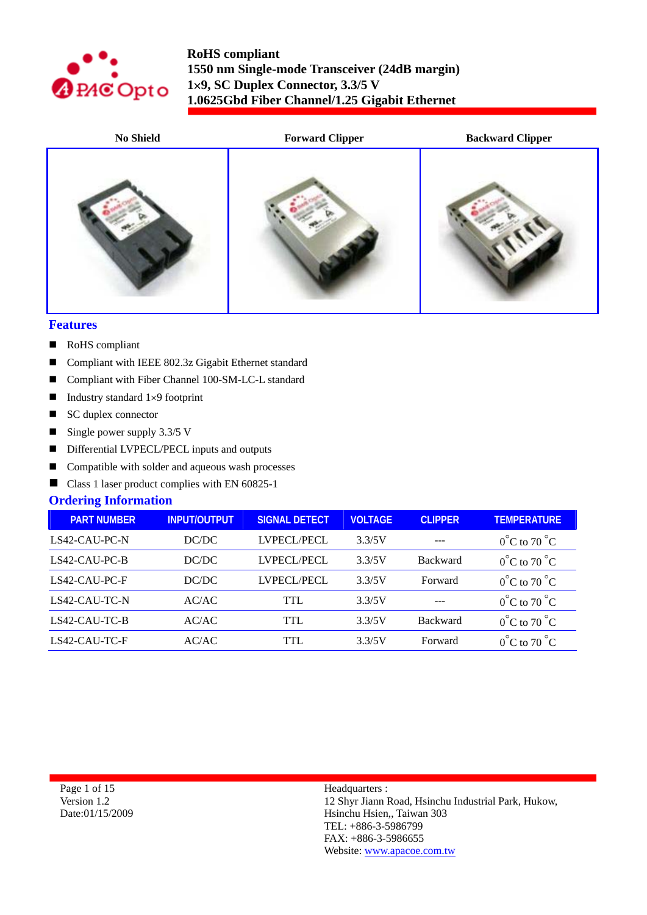

| <b>No Shield</b> | <b>Forward Clipper</b> | <b>Backward Clipper</b> |
|------------------|------------------------|-------------------------|
|                  |                        |                         |

#### **Features**

- RoHS compliant
- Compliant with IEEE 802.3z Gigabit Ethernet standard
- Compliant with Fiber Channel 100-SM-LC-L standard
- Industry standard  $1\times9$  footprint
- SC duplex connector
- Single power supply  $3.3/5$  V
- Differential LVPECL/PECL inputs and outputs
- Compatible with solder and aqueous wash processes
- Class 1 laser product complies with EN 60825-1

#### **Ordering Information**

| <b>PART NUMBER</b> | <b>INPUT/OUTPUT</b> | <b>SIGNAL DETECT</b> | <b>VOLTAGE</b> | <b>CLIPPER</b>  | <b>TEMPERATURE</b>               |
|--------------------|---------------------|----------------------|----------------|-----------------|----------------------------------|
| LS42-CAU-PC-N      | DC/DC               | LVPECL/PECL          | 3.3/5V         |                 | $0^{\circ}$ C to 70 $^{\circ}$ C |
| $LS42-CAU-PC-B$    | DC/DC               | LVPECL/PECL          | 3.3/5V         | <b>Backward</b> | $0^{\circ}$ C to 70 $^{\circ}$ C |
| LS42-CAU-PC-F      | DC/DC               | LVPECL/PECL          | 3.3/5V         | Forward         | $0^{\circ}$ C to 70 $^{\circ}$ C |
| LS42-CAU-TC-N      | AC/AC               | TTL                  | 3.3/5V         |                 | $0^{\circ}$ C to 70 $^{\circ}$ C |
| LS42-CAU-TC-B      | AC/AC               | TTL.                 | 3.3/5V         | <b>Backward</b> | $0^{\circ}$ C to 70 $^{\circ}$ C |
| LS42-CAU-TC-F      | AC/AC               | TTL.                 | 3.3/5V         | Forward         | $0^{\circ}$ C to 70 $^{\circ}$ C |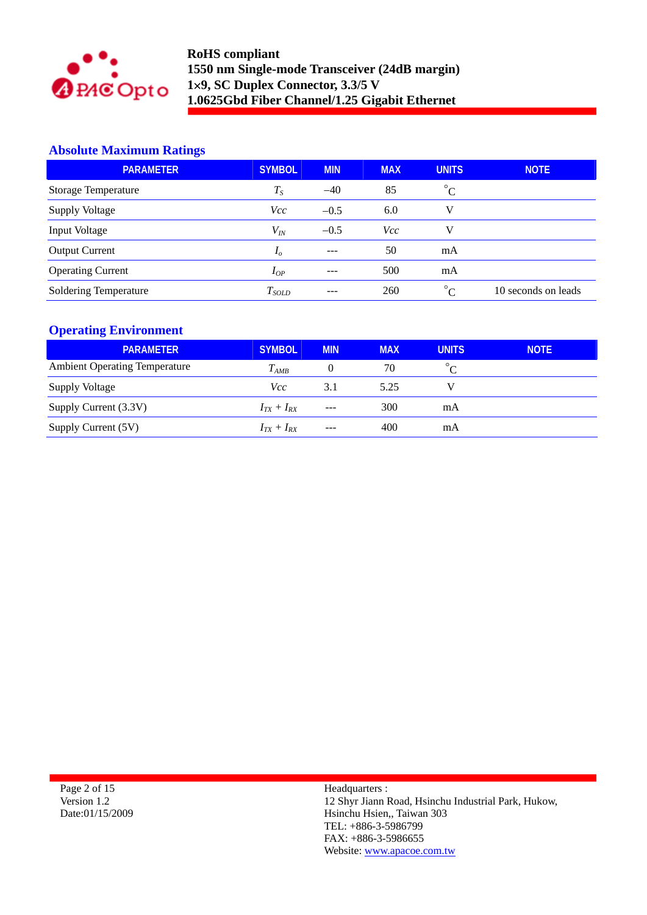

### **Absolute Maximum Ratings**

| <b>PARAMETER</b>           | <b>SYMBOL</b> | <b>MIN</b> | <b>MAX</b> | <b>UNITS</b> | <b>NOTE</b>         |
|----------------------------|---------------|------------|------------|--------------|---------------------|
| <b>Storage Temperature</b> | $T_{S}$       | $-40$      | 85         | $^{\circ}C$  |                     |
| <b>Supply Voltage</b>      | <i>Vcc</i>    | $-0.5$     | 6.0        | V            |                     |
| Input Voltage              | $V_{I\!N}$    | $-0.5$     | <b>Vcc</b> | V            |                     |
| <b>Output Current</b>      | $I_{\theta}$  | ---        | 50         | mA           |                     |
| <b>Operating Current</b>   | $I_{OP}$      | $- - -$    | 500        | mA           |                     |
| Soldering Temperature      | $T_{SOLD}$    |            | 260        | $\circ$      | 10 seconds on leads |

# **Operating Environment**

| <b>PARAMETER</b>                     | <b>SYMBOL</b>   | <b>MIN</b> | <b>MAX</b> | <b>UNITS</b>        | <b>NOTE</b> |
|--------------------------------------|-----------------|------------|------------|---------------------|-------------|
| <b>Ambient Operating Temperature</b> | $T_{AMB}$       | $\theta$   | 70         | $\circ$<br>$\Gamma$ |             |
| <b>Supply Voltage</b>                | Vcc             | 3.1        | 5.25       |                     |             |
| Supply Current (3.3V)                | $I_{TX}+I_{RX}$ | $---$      | 300        | mA                  |             |
| Supply Current (5V)                  | $I_{TX}+I_{RX}$ | $---$      | 400        | mA                  |             |

Page 2 of 15 Version 1.2 Date:01/15/2009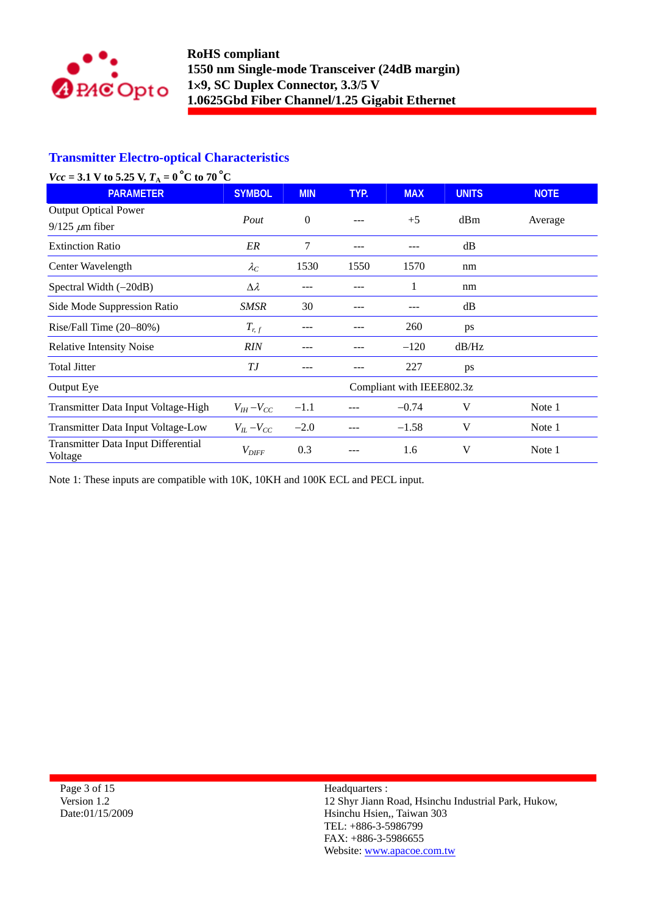

### **Transmitter Electro-optical Characteristics**

#### $V_{cc}$  = 3.1 V to 5.25 V,  $T_{c}$  = 0<sup>o</sup>C to 70<sup>o</sup>C

| $\mathbf{v} \mathbf{u} = \mathbf{v} \cdot \mathbf{v}$ to $\mathbf{v} \cdot \mathbf{v} \cdot \mathbf{v}$ and $\mathbf{v} \cdot \mathbf{v} \cdot \mathbf{v}$<br><b>PARAMETER</b> | <b>SYMBOL</b>       | <b>MIN</b>                | TYP. | <b>MAX</b> | <b>UNITS</b>              | <b>NOTE</b> |
|--------------------------------------------------------------------------------------------------------------------------------------------------------------------------------|---------------------|---------------------------|------|------------|---------------------------|-------------|
|                                                                                                                                                                                |                     |                           |      |            |                           |             |
| <b>Output Optical Power</b>                                                                                                                                                    |                     |                           |      |            |                           |             |
| $9/125 \ \mu m$ fiber                                                                                                                                                          | Pout                | $\mathbf{0}$              |      | $+5$       | dBm                       | Average     |
| <b>Extinction Ratio</b>                                                                                                                                                        | ER                  | 7                         | ---  | $---$      | dB                        |             |
| Center Wavelength                                                                                                                                                              | $\lambda_C$         | 1530                      | 1550 | 1570       | nm                        |             |
| Spectral Width $(-20dB)$                                                                                                                                                       | $\Delta \lambda$    | ---                       | ---  | 1          | nm                        |             |
| Side Mode Suppression Ratio                                                                                                                                                    | SMSR                | 30                        | ---  |            | dB                        |             |
| Rise/Fall Time (20-80%)                                                                                                                                                        | $T_{r,f}$           | ---                       |      | 260        | ps                        |             |
| <b>Relative Intensity Noise</b>                                                                                                                                                | RIN                 | --                        |      | $-120$     | dB/Hz                     |             |
| <b>Total Jitter</b>                                                                                                                                                            | ТJ                  |                           | ---  | 227        | ps                        |             |
| Output Eye                                                                                                                                                                     |                     | Compliant with IEEE802.3z |      |            |                           |             |
| Transmitter Data Input Voltage-High                                                                                                                                            | $V_{IH}-V_{CC}$     | $-1.1$                    |      | $-0.74$    | V                         | Note 1      |
| Transmitter Data Input Voltage-Low                                                                                                                                             | $V_{IL}$ – $V_{CC}$ | $-2.0$                    |      | $-1.58$    | V                         | Note 1      |
| Transmitter Data Input Differential<br>Voltage                                                                                                                                 | $V_{\mathit{DIFF}}$ | 0.3                       |      | 1.6        | $\boldsymbol{\mathrm{V}}$ | Note 1      |

Note 1: These inputs are compatible with 10K, 10KH and 100K ECL and PECL input.

Page 3 of 15 Version 1.2 Date:01/15/2009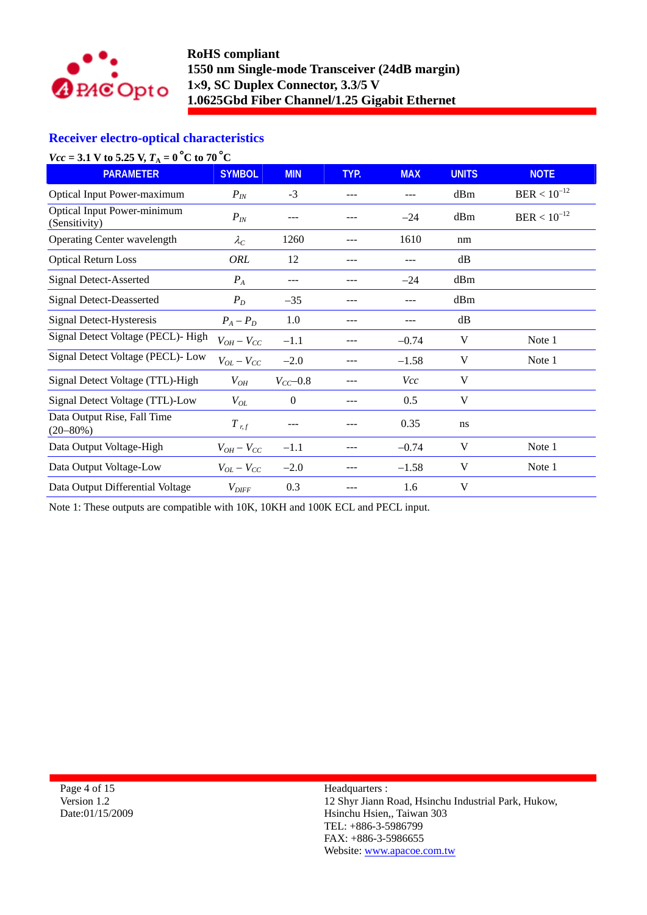

# **Receiver electro-optical characteristics**

# *Vcc* = 3.1 V to 5.25 V,  $T_A = 0^\circ$ C to 70 °C

| <b>PARAMETER</b>                                    | <b>SYMBOL</b>     | <b>MIN</b>    | TYP. | <b>MAX</b> | <b>UNITS</b> | <b>NOTE</b>      |
|-----------------------------------------------------|-------------------|---------------|------|------------|--------------|------------------|
| Optical Input Power-maximum                         | $P_{IN}$          | $-3$          | ---  | ---        | dBm          | $BER < 10^{-12}$ |
| <b>Optical Input Power-minimum</b><br>(Sensitivity) | $P_{IN}$          | ---           |      | $-24$      | dBm          | $BER < 10^{-12}$ |
| Operating Center wavelength                         | $\lambda_C$       | 1260          |      | 1610       | nm           |                  |
| <b>Optical Return Loss</b>                          | ORL               | 12            | ---  | ---        | dB           |                  |
| <b>Signal Detect-Asserted</b>                       | $P_{A}$           | ---           |      | $-24$      | dBm          |                  |
| <b>Signal Detect-Deasserted</b>                     | $P_D$             | $-35$         | ---  |            | dBm          |                  |
| Signal Detect-Hysteresis                            | $P_A - P_D$       | 1.0           | ---  |            | dB           |                  |
| Signal Detect Voltage (PECL)- High                  | $V_{OH} - V_{CC}$ | $-1.1$        |      | $-0.74$    | V            | Note 1           |
| Signal Detect Voltage (PECL)- Low                   | $V_{OL}-V_{CC}$   | $-2.0$        |      | $-1.58$    | V            | Note 1           |
| Signal Detect Voltage (TTL)-High                    | $V_{OH}$          | $V_{CC}$ -0.8 |      | Vcc        | V            |                  |
| Signal Detect Voltage (TTL)-Low                     | $V_{OL}$          | $\theta$      |      | 0.5        | V            |                  |
| Data Output Rise, Fall Time<br>$(20 - 80\%)$        | $T_{r,f}$         |               |      | 0.35       | ns           |                  |
| Data Output Voltage-High                            | $V_{OH}-V_{CC}$   | $-1.1$        |      | $-0.74$    | V            | Note 1           |
| Data Output Voltage-Low                             | $V_{OL} - V_{CC}$ | $-2.0$        | ---  | $-1.58$    | V            | Note 1           |
| Data Output Differential Voltage                    | $V_{\text{DIFF}}$ | 0.3           |      | 1.6        | V            |                  |

Note 1: These outputs are compatible with 10K, 10KH and 100K ECL and PECL input.

Page 4 of 15 Version 1.2 Date:01/15/2009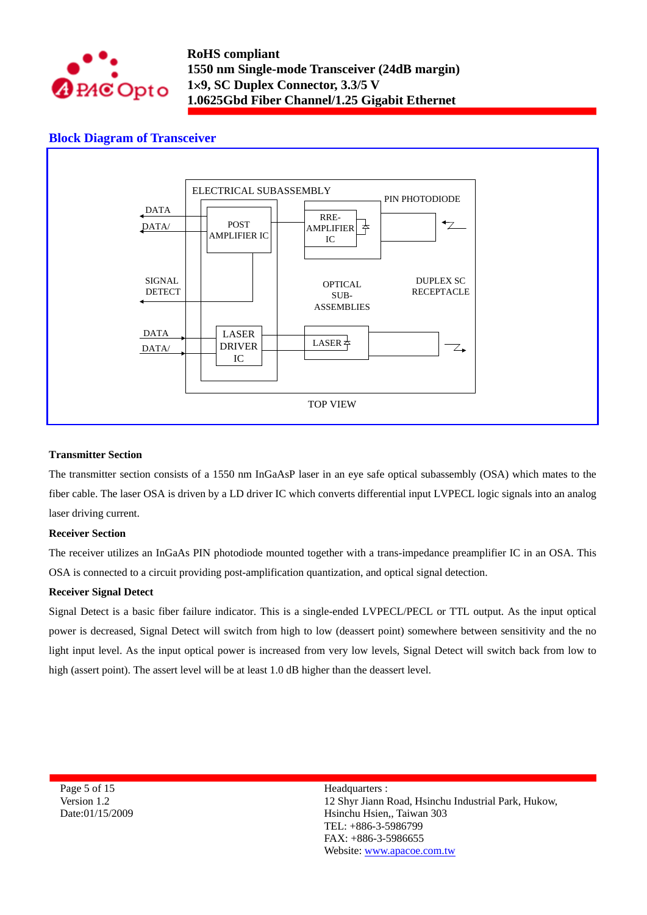

### **Block Diagram of Transceiver**



#### **Transmitter Section**

The transmitter section consists of a 1550 nm InGaAsP laser in an eye safe optical subassembly (OSA) which mates to the fiber cable. The laser OSA is driven by a LD driver IC which converts differential input LVPECL logic signals into an analog laser driving current.

#### **Receiver Section**

The receiver utilizes an InGaAs PIN photodiode mounted together with a trans-impedance preamplifier IC in an OSA. This OSA is connected to a circuit providing post-amplification quantization, and optical signal detection.

#### **Receiver Signal Detect**

Signal Detect is a basic fiber failure indicator. This is a single-ended LVPECL/PECL or TTL output. As the input optical power is decreased, Signal Detect will switch from high to low (deassert point) somewhere between sensitivity and the no light input level. As the input optical power is increased from very low levels, Signal Detect will switch back from low to high (assert point). The assert level will be at least 1.0 dB higher than the deassert level.

Page 5 of 15 Version 1.2 Date:01/15/2009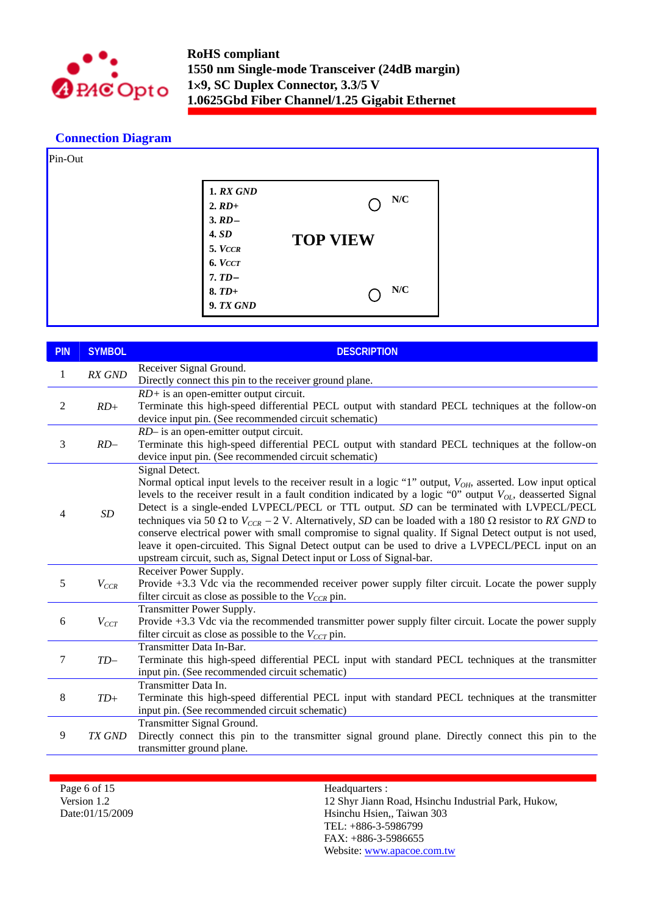

# **Connection Diagram**

| Pin-Out |                                                          |                        |  |
|---------|----------------------------------------------------------|------------------------|--|
|         | <b>1. RX GND</b><br>$2. RD+$<br>$3. RD-$<br><b>4. SD</b> | N/C<br><b>TOP VIEW</b> |  |
|         | <b>5. VCCR</b><br><b>6. VCCT</b>                         |                        |  |
|         | $7.TD-$<br>$8. TD+$<br>9. TX GND                         | N/C                    |  |

| <b>PIN</b> | <b>SYMBOL</b> | <b>DESCRIPTION</b>                                                                                                                                                                                                                                                                                                                                                                                                                                                                                                                                                                                                                                                                                                                                                      |
|------------|---------------|-------------------------------------------------------------------------------------------------------------------------------------------------------------------------------------------------------------------------------------------------------------------------------------------------------------------------------------------------------------------------------------------------------------------------------------------------------------------------------------------------------------------------------------------------------------------------------------------------------------------------------------------------------------------------------------------------------------------------------------------------------------------------|
| 1          | RX GND        | Receiver Signal Ground.<br>Directly connect this pin to the receiver ground plane.                                                                                                                                                                                                                                                                                                                                                                                                                                                                                                                                                                                                                                                                                      |
| 2          | $RD+$         | $RD$ + is an open-emitter output circuit.<br>Terminate this high-speed differential PECL output with standard PECL techniques at the follow-on<br>device input pin. (See recommended circuit schematic)                                                                                                                                                                                                                                                                                                                                                                                                                                                                                                                                                                 |
| 3          | $RD-$         | RD- is an open-emitter output circuit.<br>Terminate this high-speed differential PECL output with standard PECL techniques at the follow-on<br>device input pin. (See recommended circuit schematic)                                                                                                                                                                                                                                                                                                                                                                                                                                                                                                                                                                    |
| 4          | SD            | Signal Detect.<br>Normal optical input levels to the receiver result in a logic "1" output, $V_{OH}$ , asserted. Low input optical<br>levels to the receiver result in a fault condition indicated by a logic "0" output $V_{OL}$ , deasserted Signal<br>Detect is a single-ended LVPECL/PECL or TTL output. SD can be terminated with LVPECL/PECL<br>techniques via 50 $\Omega$ to $V_{CCR}$ – 2 V. Alternatively, SD can be loaded with a 180 $\Omega$ resistor to RX GND to<br>conserve electrical power with small compromise to signal quality. If Signal Detect output is not used,<br>leave it open-circuited. This Signal Detect output can be used to drive a LVPECL/PECL input on an<br>upstream circuit, such as, Signal Detect input or Loss of Signal-bar. |
| 5          | $V_{CCR}$     | Receiver Power Supply.<br>Provide +3.3 Vdc via the recommended receiver power supply filter circuit. Locate the power supply<br>filter circuit as close as possible to the $V_{CCR}$ pin.                                                                                                                                                                                                                                                                                                                                                                                                                                                                                                                                                                               |
| 6          | $V_{CCT}$     | Transmitter Power Supply.<br>Provide +3.3 Vdc via the recommended transmitter power supply filter circuit. Locate the power supply<br>filter circuit as close as possible to the $V_{CCT}$ pin.                                                                                                                                                                                                                                                                                                                                                                                                                                                                                                                                                                         |
| $\tau$     | $TD-$         | Transmitter Data In-Bar.<br>Terminate this high-speed differential PECL input with standard PECL techniques at the transmitter<br>input pin. (See recommended circuit schematic)                                                                                                                                                                                                                                                                                                                                                                                                                                                                                                                                                                                        |
| 8          | $TD+$         | Transmitter Data In.<br>Terminate this high-speed differential PECL input with standard PECL techniques at the transmitter<br>input pin. (See recommended circuit schematic)                                                                                                                                                                                                                                                                                                                                                                                                                                                                                                                                                                                            |
| 9          | TX GND        | Transmitter Signal Ground.<br>Directly connect this pin to the transmitter signal ground plane. Directly connect this pin to the<br>transmitter ground plane.                                                                                                                                                                                                                                                                                                                                                                                                                                                                                                                                                                                                           |

Page 6 of 15 Version 1.2 Date:01/15/2009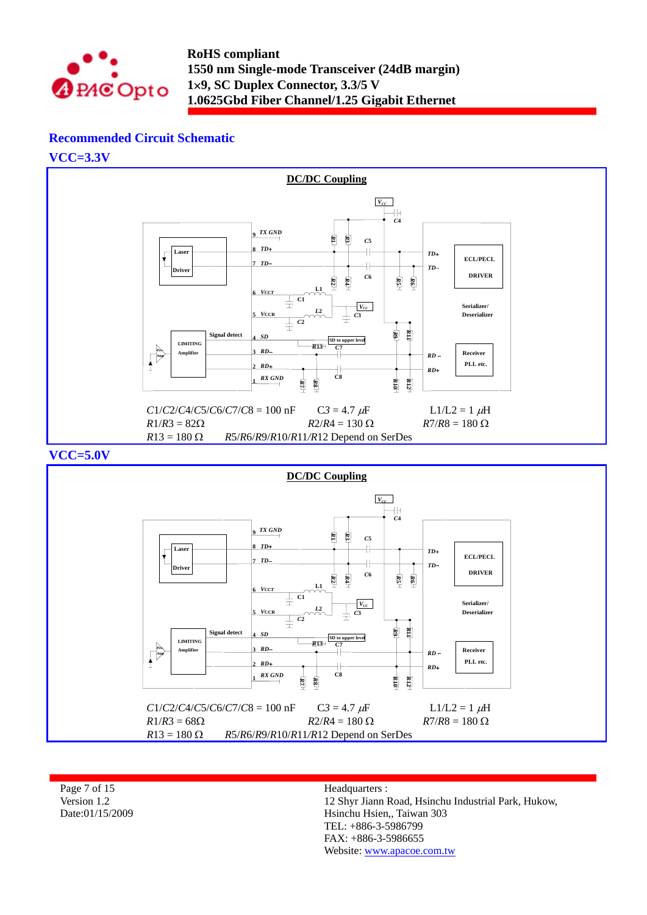

### **Recommended Circuit Schematic**

**VCC=3.3V** 



**VCC=5.0V** 



Page 7 of 15 Version 1.2 Date:01/15/2009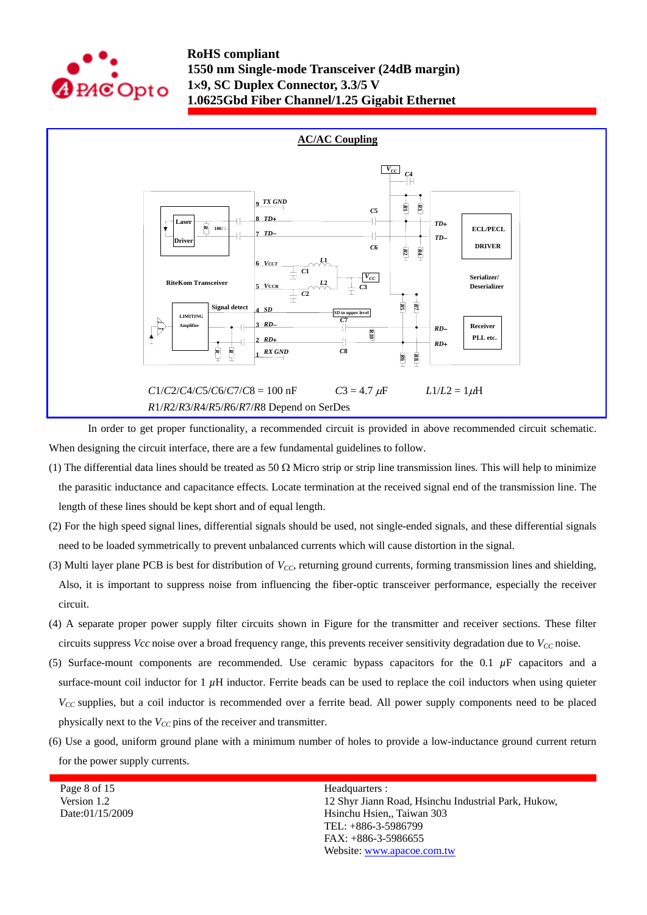



In order to get proper functionality, a recommended circuit is provided in above recommended circuit schematic. When designing the circuit interface, there are a few fundamental guidelines to follow.

- (1) The differential data lines should be treated as 50  $\Omega$  Micro strip or strip line transmission lines. This will help to minimize the parasitic inductance and capacitance effects. Locate termination at the received signal end of the transmission line. The length of these lines should be kept short and of equal length.
- (2) For the high speed signal lines, differential signals should be used, not single-ended signals, and these differential signals need to be loaded symmetrically to prevent unbalanced currents which will cause distortion in the signal.
- (3) Multi layer plane PCB is best for distribution of  $V_{CC}$ , returning ground currents, forming transmission lines and shielding, Also, it is important to suppress noise from influencing the fiber-optic transceiver performance, especially the receiver circuit.
- (4) A separate proper power supply filter circuits shown in Figure for the transmitter and receiver sections. These filter circuits suppress *Vcc* noise over a broad frequency range, this prevents receiver sensitivity degradation due to  $V_{CC}$  noise.
- (5) Surface-mount components are recommended. Use ceramic bypass capacitors for the 0.1  $\mu$ F capacitors and a surface-mount coil inductor for  $1 \mu$ H inductor. Ferrite beads can be used to replace the coil inductors when using quieter *V<sub>CC</sub>* supplies, but a coil inductor is recommended over a ferrite bead. All power supply components need to be placed physically next to the  $V_{CC}$  pins of the receiver and transmitter.
- (6) Use a good, uniform ground plane with a minimum number of holes to provide a low-inductance ground current return for the power supply currents.

Page 8 of 15 Version 1.2 Date:01/15/2009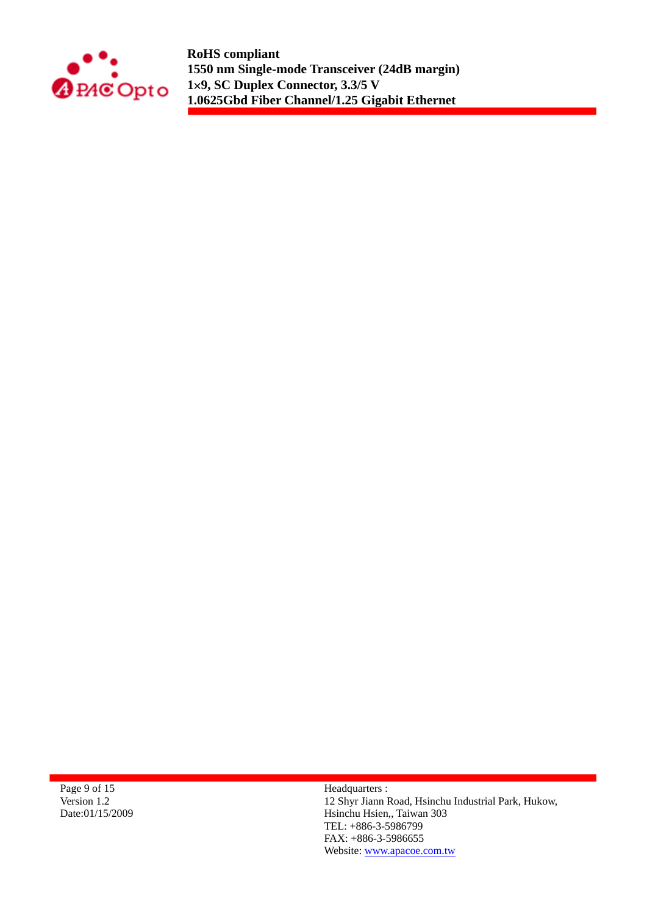![](_page_8_Picture_0.jpeg)

Page 9 of 15 Version 1.2 Date:01/15/2009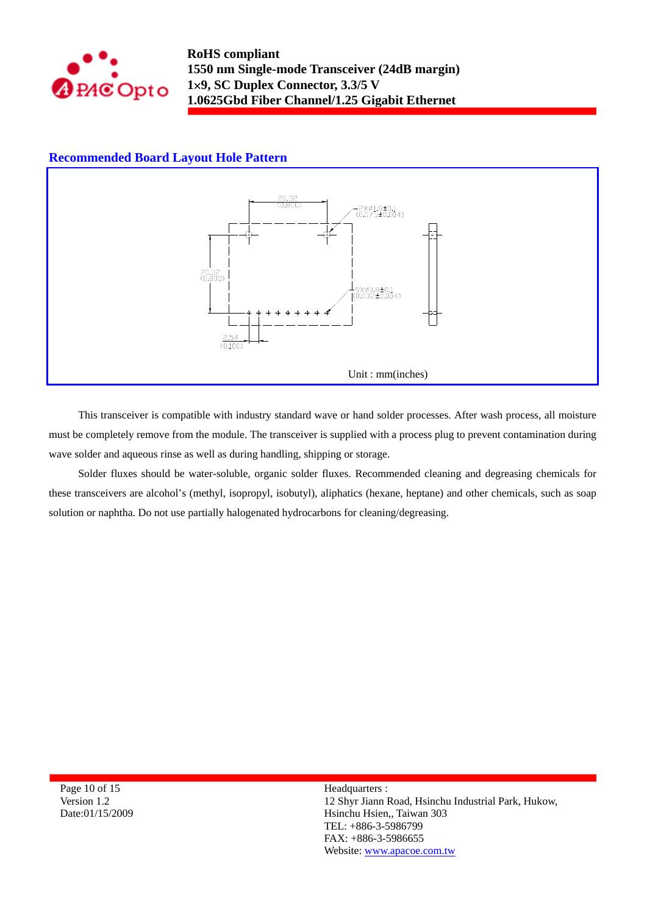![](_page_9_Picture_0.jpeg)

### **Recommended Board Layout Hole Pattern**

![](_page_9_Figure_3.jpeg)

This transceiver is compatible with industry standard wave or hand solder processes. After wash process, all moisture must be completely remove from the module. The transceiver is supplied with a process plug to prevent contamination during wave solder and aqueous rinse as well as during handling, shipping or storage.

Solder fluxes should be water-soluble, organic solder fluxes. Recommended cleaning and degreasing chemicals for these transceivers are alcohol's (methyl, isopropyl, isobutyl), aliphatics (hexane, heptane) and other chemicals, such as soap solution or naphtha. Do not use partially halogenated hydrocarbons for cleaning/degreasing.

Page 10 of 15 Version 1.2 Date:01/15/2009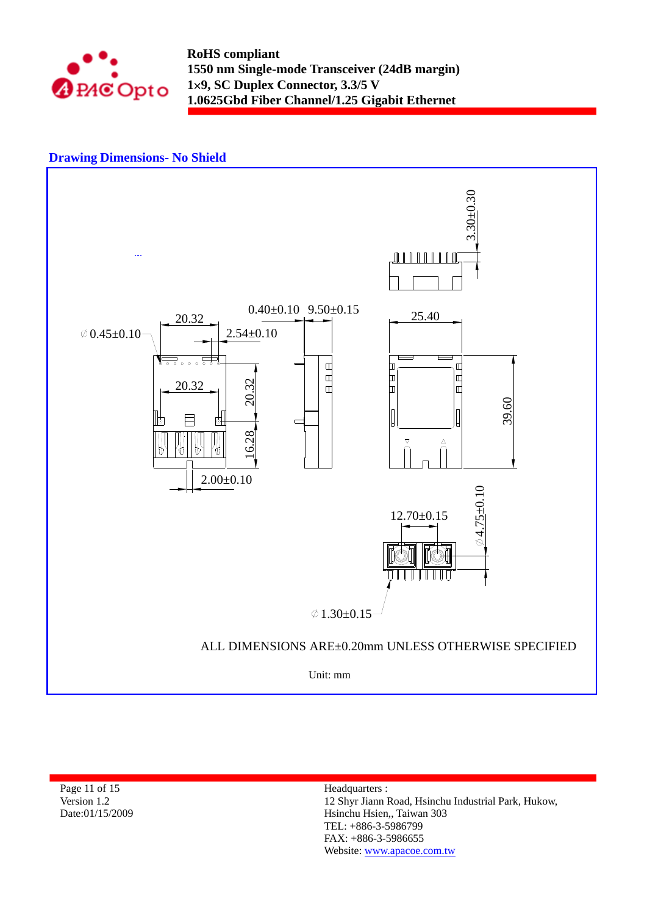![](_page_10_Picture_0.jpeg)

## **Drawing Dimensions- No Shield**

![](_page_10_Figure_3.jpeg)

Page 11 of 15 Version 1.2 Date:01/15/2009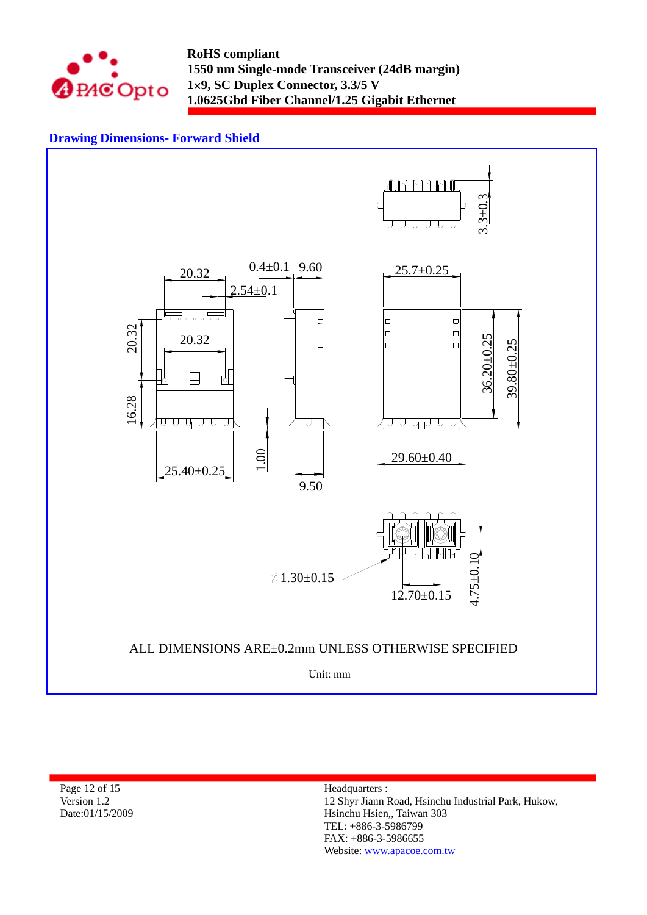![](_page_11_Picture_0.jpeg)

## **Drawing Dimensions- Forward Shield**

![](_page_11_Figure_3.jpeg)

Page 12 of 15 Version 1.2 Date:01/15/2009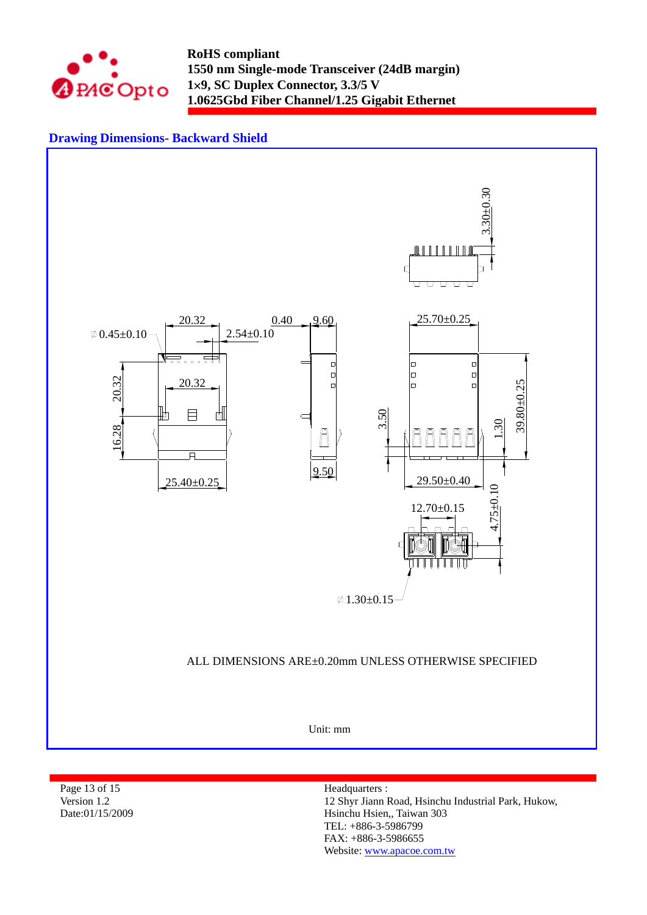![](_page_12_Picture_0.jpeg)

### **Drawing Dimensions- Backward Shield**

![](_page_12_Figure_3.jpeg)

Page 13 of 15 Version 1.2 Date:01/15/2009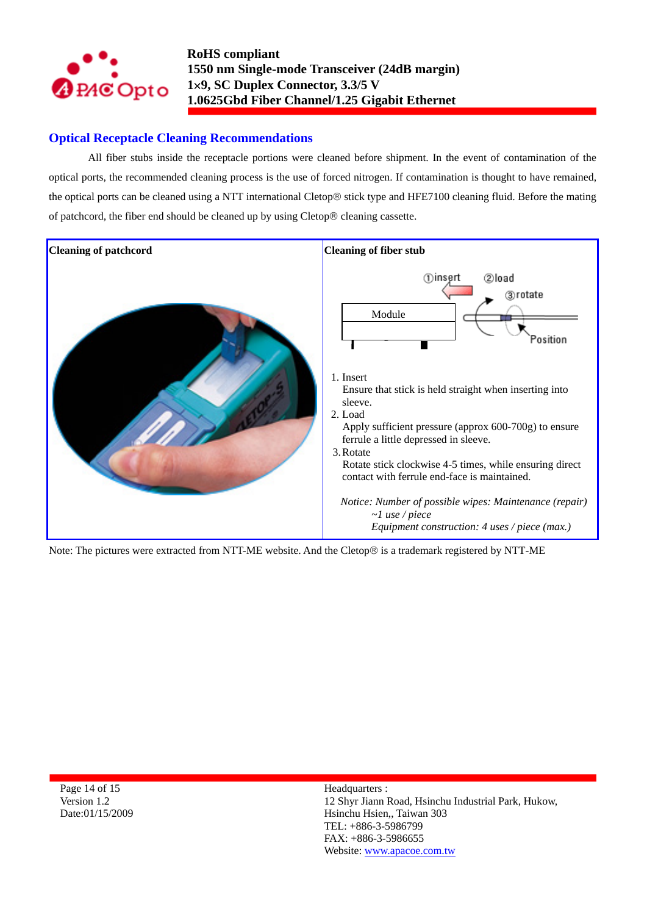![](_page_13_Picture_0.jpeg)

## **Optical Receptacle Cleaning Recommendations**

All fiber stubs inside the receptacle portions were cleaned before shipment. In the event of contamination of the optical ports, the recommended cleaning process is the use of forced nitrogen. If contamination is thought to have remained, the optical ports can be cleaned using a NTT international Cletop® stick type and HFE7100 cleaning fluid. Before the mating of patchcord, the fiber end should be cleaned up by using Cletop® cleaning cassette.

![](_page_13_Figure_4.jpeg)

Note: The pictures were extracted from NTT-ME website. And the Cletop® is a trademark registered by NTT-ME

Page 14 of 15 Version 1.2 Date:01/15/2009